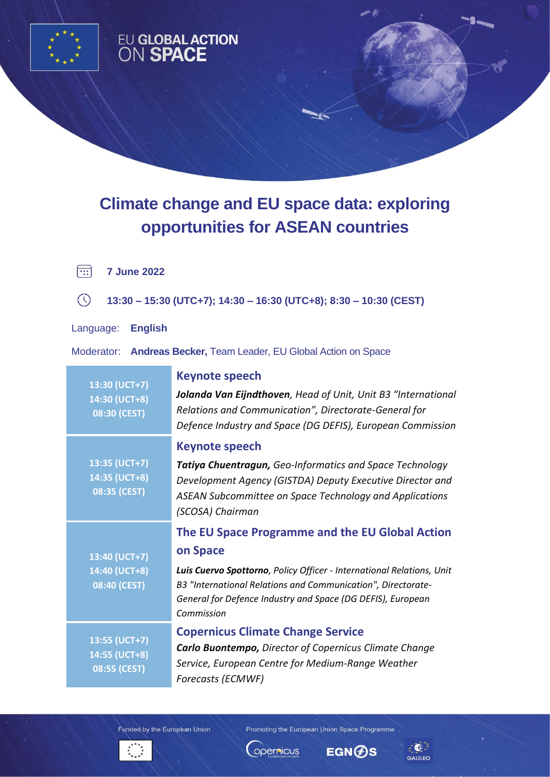

## EU GLOBAL ACTION<br>ON SPACE

## **Climate change and EU space data: exploring opportunities for ASEAN countries**

 $\boxed{11}$ **7 June 2022**

 $\circ$ **13:30 – 15:30 (UTC+7); 14:30 – 16:30 (UTC+8); 8:30 – 10:30 (CEST)**

Language: **English** 

Moderator: **Andreas Becker,** Team Leader, EU Global Action on Space

| 13:30 (UCT+7)<br>14:30 (UCT+8)<br>08:30 (CEST) | Keynote speech<br>Jolanda Van Eijndthoven, Head of Unit, Unit B3 "International<br>Relations and Communication", Directorate-General for<br>Defence Industry and Space (DG DEFIS), European Commission                                                                            |
|------------------------------------------------|-----------------------------------------------------------------------------------------------------------------------------------------------------------------------------------------------------------------------------------------------------------------------------------|
| 13:35 (UCT+7)<br>14:35 (UCT+8)<br>08:35 (CEST) | <b>Keynote speech</b><br><b>Tatiya Chuentragun, Geo-Informatics and Space Technology</b><br>Development Agency (GISTDA) Deputy Executive Director and<br>ASEAN Subcommittee on Space Technology and Applications<br>(SCOSA) Chairman                                              |
| 13:40 (UCT+7)<br>14:40 (UCT+8)<br>08:40 (CEST) | The EU Space Programme and the EU Global Action<br>on Space<br>Luis Cuervo Spottorno, Policy Officer - International Relations, Unit<br>B3 "International Relations and Communication", Directorate-<br>General for Defence Industry and Space (DG DEFIS), European<br>Commission |
| 13:55 (UCT+7)<br>14:55 (UCT+8)<br>08:55 (CEST) | <b>Copernicus Climate Change Service</b><br><b>Carlo Buontempo, Director of Copernicus Climate Change</b><br>Service, European Centre for Medium-Range Weather<br>Forecasts (ECMWF)                                                                                               |

Funded by the European Union



Promoting the European Union Space Programme

**EGN⊕S** 

opernicus